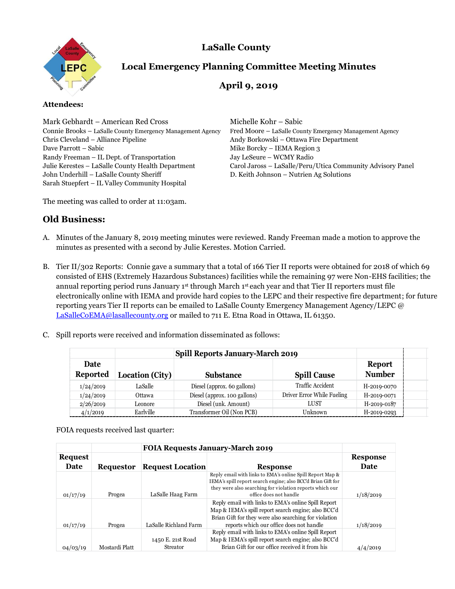



# **Local Emergency Planning Committee Meeting Minutes**

## **April 9, 2019**

#### **Attendees:**

Mark Gebhardt – American Red Cross Michelle Kohr – Sabic Connie Brooks – LaSalle County Emergency Management Agency Fred Moore – LaSalle County Emergency Management Agency Chris Cleveland – Alliance Pipeline Andy Borkowski – Ottawa Fire Department Dave Parrott – Sabic Mike Borcky – IEMA Region 3 Randy Freeman – IL Dept. of Transportation Jay LeSeure – WCMY Radio John Underhill – LaSalle County Sheriff D. Keith Johnson – Nutrien Ag Solutions Sarah Stuepfert – IL Valley Community Hospital

Julie Kerestes – LaSalle County Health Department Carol Jaross – LaSalle/Peru/Utica Community Advisory Panel

The meeting was called to order at 11:03am.

### **Old Business:**

- A. Minutes of the January 8, 2019 meeting minutes were reviewed. Randy Freeman made a motion to approve the minutes as presented with a second by Julie Kerestes. Motion Carried.
- B. Tier II/302 Reports: Connie gave a summary that a total of 166 Tier II reports were obtained for 2018 of which 69 consisted of EHS (Extremely Hazardous Substances) facilities while the remaining 97 were Non-EHS facilities; the annual reporting period runs January 1st through March 1st each year and that Tier II reporters must file electronically online with IEMA and provide hard copies to the LEPC and their respective fire department; for future reporting years Tier II reports can be emailed to LaSalle County Emergency Management Agency/LEPC @ [LaSalleCoEMA@lasallecounty.org](mailto:LaSalleCoEMA@lasallecounty.org) or mailed to 711 E. Etna Road in Ottawa, IL 61350.
- C. Spill reports were received and information disseminated as follows:

|                                |                 | <b>Spill Reports January-March 2019</b> |                            |                         |  |
|--------------------------------|-----------------|-----------------------------------------|----------------------------|-------------------------|--|
| <b>Date</b><br><b>Reported</b> | Location (City) | <b>Substance</b>                        | <b>Spill Cause</b>         | Report<br><b>Number</b> |  |
| 1/24/2019                      | LaSalle         | Diesel (approx. 60 gallons)             | Traffic Accident           | H-2019-0070             |  |
| 1/24/2019                      | Ottawa          | Diesel (approx. 100 gallons)            | Driver Error While Fueling | H-2019-0071             |  |
| 2/26/2019                      | Leonore         | Diesel (unk. Amount)                    | LUST                       | H-2019-0187             |  |
| 4/1/2019                       | Earlville       | Transformer Oil (Non PCB)               | Unknown                    | H-2019-0293             |  |

FOIA requests received last quarter:

|          |                | <b>FOIA Requests January-March 2019</b> |                                                                                                                                                                                                                 |                 |  |
|----------|----------------|-----------------------------------------|-----------------------------------------------------------------------------------------------------------------------------------------------------------------------------------------------------------------|-----------------|--|
| Request  |                |                                         |                                                                                                                                                                                                                 | <b>Response</b> |  |
| Date     | Requestor      | <b>Request Location</b>                 | <b>Response</b>                                                                                                                                                                                                 | Date            |  |
| 01/17/19 | Progea         | LaSalle Haag Farm                       | Reply email with links to EMA's online Spill Report Map &<br>IEMA's spill report search engine; also BCC'd Brian Gift for<br>they were also searching for violation reports which our<br>office does not handle | 1/18/2019       |  |
| 01/17/19 | Progea         | LaSalle Richland Farm                   | Reply email with links to EMA's online Spill Report<br>Map & IEMA's spill report search engine; also BCC'd<br>Brian Gift for they were also searching for violation<br>reports which our office does not handle | 1/18/2019       |  |
| 04/03/19 | Mostardi Platt | 1450 E. 21st Road<br>Streator           | Reply email with links to EMA's online Spill Report<br>Map & IEMA's spill report search engine; also BCC'd<br>Brian Gift for our office received it from his                                                    | 4/4/2019        |  |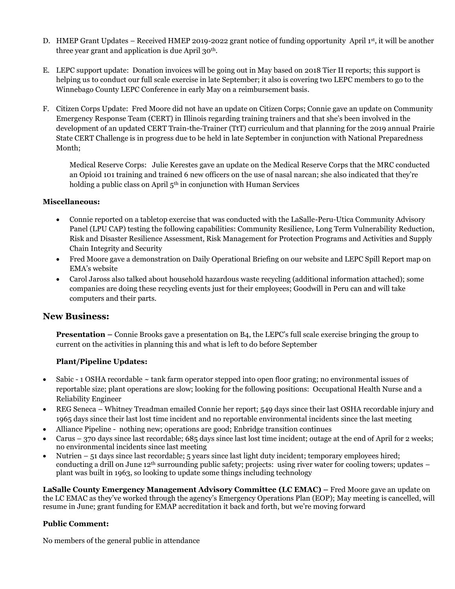- D. HMEP Grant Updates Received HMEP 2019-2022 grant notice of funding opportunity April 1st, it will be another three year grant and application is due April 30th.
- E. LEPC support update: Donation invoices will be going out in May based on 2018 Tier II reports; this support is helping us to conduct our full scale exercise in late September; it also is covering two LEPC members to go to the Winnebago County LEPC Conference in early May on a reimbursement basis.
- F. Citizen Corps Update: Fred Moore did not have an update on Citizen Corps; Connie gave an update on Community Emergency Response Team (CERT) in Illinois regarding training trainers and that she's been involved in the development of an updated CERT Train-the-Trainer (TtT) curriculum and that planning for the 2019 annual Prairie State CERT Challenge is in progress due to be held in late September in conjunction with National Preparedness Month;

Medical Reserve Corps: Julie Kerestes gave an update on the Medical Reserve Corps that the MRC conducted an Opioid 101 training and trained 6 new officers on the use of nasal narcan; she also indicated that they're holding a public class on April 5<sup>th</sup> in conjunction with Human Services

#### **Miscellaneous:**

- Connie reported on a tabletop exercise that was conducted with the LaSalle-Peru-Utica Community Advisory Panel (LPU CAP) testing the following capabilities: Community Resilience, Long Term Vulnerability Reduction, Risk and Disaster Resilience Assessment, Risk Management for Protection Programs and Activities and Supply Chain Integrity and Security
- Fred Moore gave a demonstration on Daily Operational Briefing on our website and LEPC Spill Report map on EMA's website
- Carol Jaross also talked about household hazardous waste recycling (additional information attached); some companies are doing these recycling events just for their employees; Goodwill in Peru can and will take computers and their parts.

### **New Business:**

**Presentation –** Connie Brooks gave a presentation on B4, the LEPC's full scale exercise bringing the group to current on the activities in planning this and what is left to do before September

#### **Plant/Pipeline Updates:**

- Sabic 1 OSHA recordable ~ tank farm operator stepped into open floor grating; no environmental issues of reportable size; plant operations are slow; looking for the following positions: Occupational Health Nurse and a Reliability Engineer
- REG Seneca Whitney Treadman emailed Connie her report; 549 days since their last OSHA recordable injury and 1965 days since their last lost time incident and no reportable environmental incidents since the last meeting
- Alliance Pipeline nothing new; operations are good; Enbridge transition continues
- Carus 370 days since last recordable; 685 days since last lost time incident; outage at the end of April for 2 weeks; no environmental incidents since last meeting
- Nutrien 51 days since last recordable; 5 years since last light duty incident; temporary employees hired; conducting a drill on June 12th surrounding public safety; projects: using river water for cooling towers; updates – plant was built in 1963, so looking to update some things including technology

**LaSalle County Emergency Management Advisory Committee (LC EMAC) –** Fred Moore gave an update on the LC EMAC as they've worked through the agency's Emergency Operations Plan (EOP); May meeting is cancelled, will resume in June; grant funding for EMAP accreditation it back and forth, but we're moving forward

#### **Public Comment:**

No members of the general public in attendance